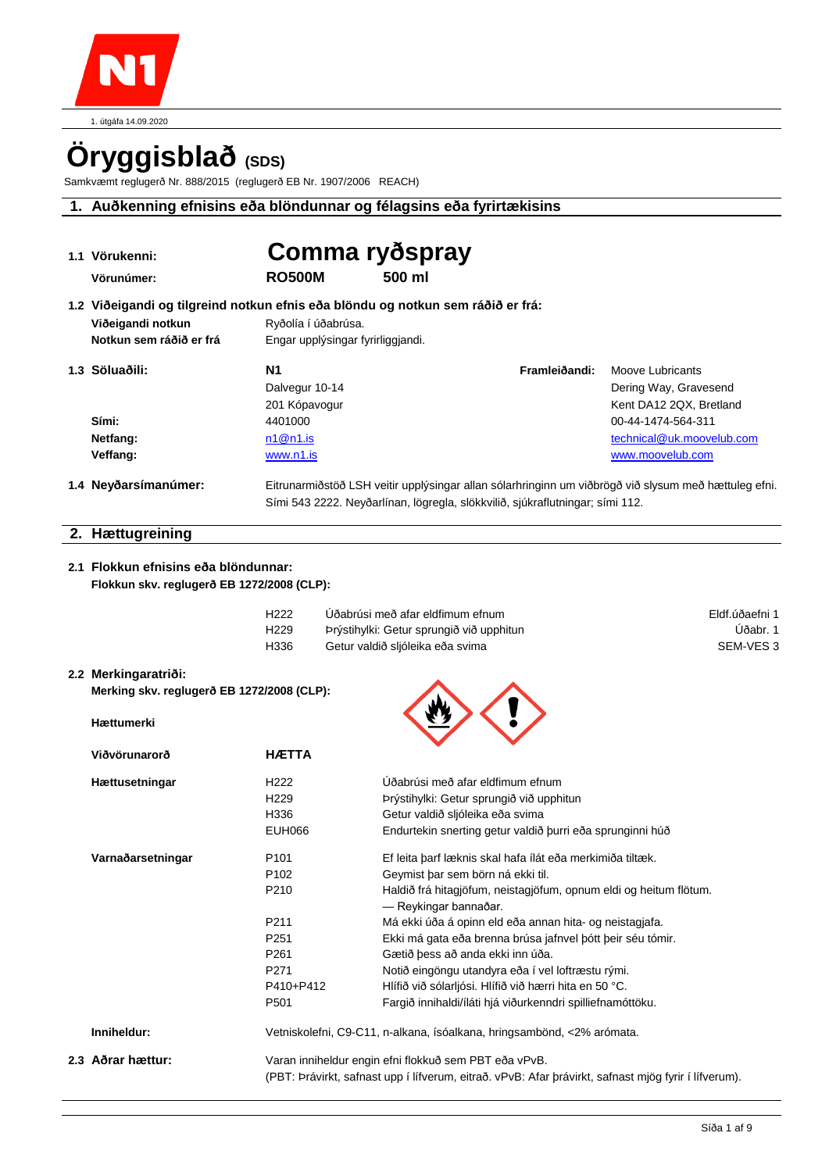1. útgáfa 14.09.2020

# **Öryggisblað (SDS)**

Samkvæmt reglugerð Nr. 888/2015 (reglugerð EB Nr. 1907/2006 REACH)

## **1. Auðkenning efnisins eða blöndunnar og félagsins eða fyrirtækisins**

| 1.1 Vörukenni:                                                                  | Comma ryðspray                    |                                                       |                                                                                                                                                                                       |                           |                      |
|---------------------------------------------------------------------------------|-----------------------------------|-------------------------------------------------------|---------------------------------------------------------------------------------------------------------------------------------------------------------------------------------------|---------------------------|----------------------|
| Vörunúmer:                                                                      | <b>RO500M</b>                     | 500 ml                                                |                                                                                                                                                                                       |                           |                      |
| 1.2 Viðeigandi og tilgreind notkun efnis eða blöndu og notkun sem ráðið er frá: |                                   |                                                       |                                                                                                                                                                                       |                           |                      |
| Viðeigandi notkun                                                               | Ryðolía í úðabrúsa.               |                                                       |                                                                                                                                                                                       |                           |                      |
| Notkun sem ráðið er frá                                                         | Engar upplýsingar fyrirliggjandi. |                                                       |                                                                                                                                                                                       |                           |                      |
| 1.3 Söluaðili:                                                                  | N1                                |                                                       | Framleiðandi:                                                                                                                                                                         | Moove Lubricants          |                      |
|                                                                                 | Dalvegur 10-14                    |                                                       |                                                                                                                                                                                       | Dering Way, Gravesend     |                      |
|                                                                                 | 201 Kópavogur                     |                                                       |                                                                                                                                                                                       | Kent DA12 2QX, Bretland   |                      |
| Sími:                                                                           | 4401000                           |                                                       |                                                                                                                                                                                       | 00-44-1474-564-311        |                      |
| Netfang:                                                                        | n1@n1.is                          |                                                       |                                                                                                                                                                                       | technical@uk.moovelub.com |                      |
| Veffang:                                                                        | www.n1.is                         |                                                       |                                                                                                                                                                                       | www.moovelub.com          |                      |
| 1.4 Neyðarsímanúmer:                                                            |                                   |                                                       | Eitrunarmiðstöð LSH veitir upplýsingar allan sólarhringinn um viðbrögð við slysum með hættuleg efni.<br>Sími 543 2222. Neyðarlínan, lögregla, slökkvilið, sjúkraflutningar; sími 112. |                           |                      |
| 2. Hættugreining                                                                |                                   |                                                       |                                                                                                                                                                                       |                           |                      |
|                                                                                 |                                   |                                                       |                                                                                                                                                                                       |                           |                      |
| 2.1 Flokkun efnisins eða blöndunnar:                                            |                                   |                                                       |                                                                                                                                                                                       |                           |                      |
| Flokkun skv. reglugerð EB 1272/2008 (CLP):                                      |                                   |                                                       |                                                                                                                                                                                       |                           |                      |
|                                                                                 | H <sub>222</sub>                  | Úðabrúsi með afar eldfimum efnum                      |                                                                                                                                                                                       |                           | Eldf.úðaefni 1       |
|                                                                                 | H <sub>229</sub>                  | Þrýstihylki: Getur sprungið við upphitun              |                                                                                                                                                                                       |                           | Úðabr. 1             |
|                                                                                 | H336                              | Getur valdið sljóleika eða svima                      |                                                                                                                                                                                       |                           | SEM-VES <sub>3</sub> |
| 2.2 Merkingaratriði:                                                            |                                   |                                                       |                                                                                                                                                                                       |                           |                      |
| Merking skv. reglugerð EB 1272/2008 (CLP):                                      |                                   |                                                       |                                                                                                                                                                                       |                           |                      |
| Hættumerki                                                                      |                                   |                                                       |                                                                                                                                                                                       |                           |                      |
|                                                                                 |                                   |                                                       |                                                                                                                                                                                       |                           |                      |
| Viðvörunarorð                                                                   | <b>HÆTTA</b>                      |                                                       |                                                                                                                                                                                       |                           |                      |
| <b>Hættusetningar</b>                                                           | H <sub>222</sub>                  | Úðabrúsi með afar eldfimum efnum                      |                                                                                                                                                                                       |                           |                      |
|                                                                                 | H <sub>229</sub>                  | Þrýstihylki: Getur sprungið við upphitun              |                                                                                                                                                                                       |                           |                      |
|                                                                                 | H336                              | Getur valdið sljóleika eða svima                      |                                                                                                                                                                                       |                           |                      |
|                                                                                 | <b>EUH066</b>                     |                                                       | Endurtekin snerting getur valdið þurri eða sprunginni húð                                                                                                                             |                           |                      |
| Varnaðarsetningar                                                               | P <sub>101</sub>                  |                                                       | Ef leita þarf læknis skal hafa ílát eða merkimiða tiltæk.                                                                                                                             |                           |                      |
|                                                                                 | P <sub>102</sub>                  | Geymist þar sem börn ná ekki til.                     |                                                                                                                                                                                       |                           |                      |
|                                                                                 | P210                              | — Reykingar bannaðar.                                 | Haldið frá hitagjöfum, neistagjöfum, opnum eldi og heitum flötum.                                                                                                                     |                           |                      |
|                                                                                 | P211                              |                                                       | Má ekki úða á opinn eld eða annan hita- og neistagjafa.                                                                                                                               |                           |                      |
|                                                                                 | P <sub>251</sub>                  |                                                       | Ekki má gata eða brenna brúsa jafnvel þótt þeir séu tómir.                                                                                                                            |                           |                      |
|                                                                                 | P261<br>P271                      | Gætið þess að anda ekki inn úða.                      | Notið eingöngu utandyra eða í vel loftræstu rými.                                                                                                                                     |                           |                      |
|                                                                                 | P410+P412                         |                                                       | Hlífið við sólarljósi. Hlífið við hærri hita en 50 °C.                                                                                                                                |                           |                      |
|                                                                                 | P <sub>501</sub>                  |                                                       | Fargið innihaldi/íláti hjá viðurkenndri spilliefnamóttöku.                                                                                                                            |                           |                      |
| Inniheldur:                                                                     |                                   |                                                       | Vetniskolefni, C9-C11, n-alkana, ísóalkana, hringsambönd, <2% arómata.                                                                                                                |                           |                      |
| 2.3 Aðrar hættur:                                                               |                                   | Varan inniheldur engin efni flokkuð sem PBT eða vPvB. |                                                                                                                                                                                       |                           |                      |
|                                                                                 |                                   |                                                       | (PBT: Þrávirkt, safnast upp í lífverum, eitrað. vPvB: Afar þrávirkt, safnast mjög fyrir í lífverum).                                                                                  |                           |                      |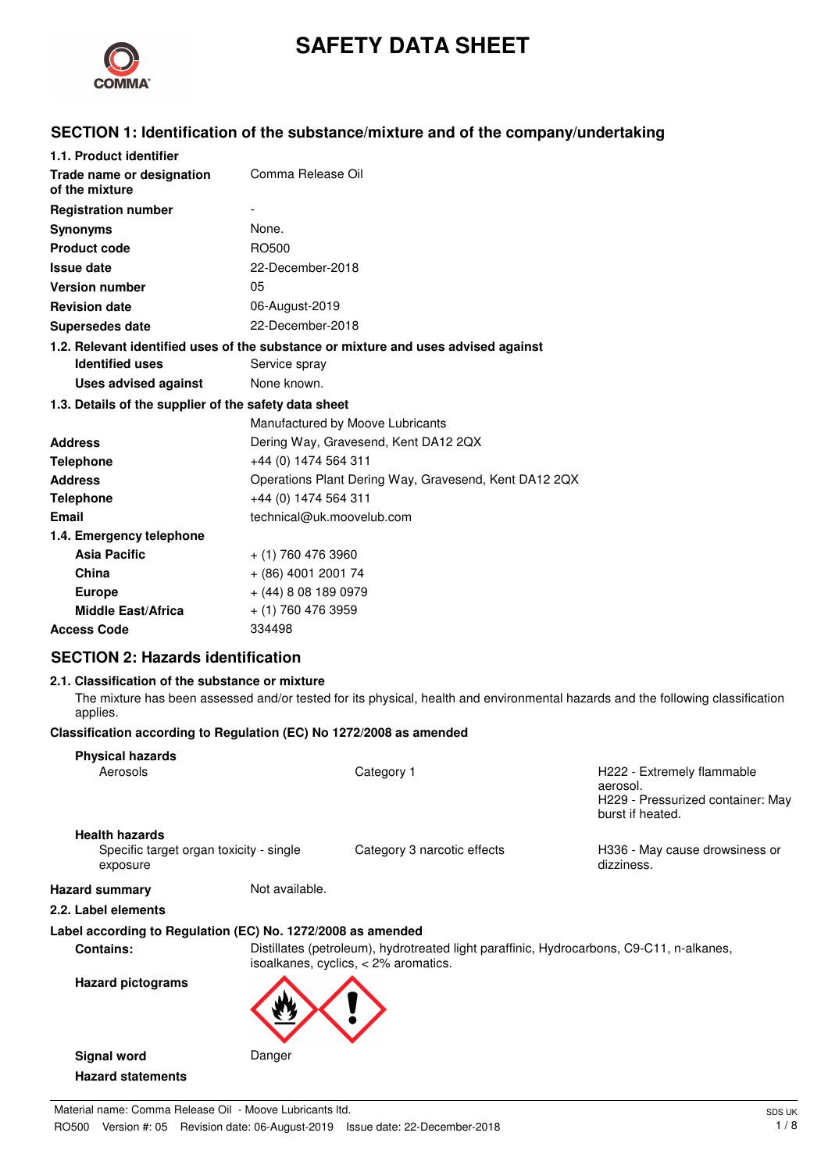

# **SAFETY DATA SHEET**

## **SECTION 1: Identification of the substance/mixture and of the company/undertaking**

| 1.1. Product identifier                                                            |                                                       |  |
|------------------------------------------------------------------------------------|-------------------------------------------------------|--|
| Trade name or designation<br>of the mixture                                        | Comma Release Oil                                     |  |
| <b>Registration number</b>                                                         |                                                       |  |
| <b>Synonyms</b>                                                                    | None.                                                 |  |
| <b>Product code</b>                                                                | RO500                                                 |  |
| <b>Issue date</b>                                                                  | 22-December-2018                                      |  |
| <b>Version number</b>                                                              | 05                                                    |  |
| <b>Revision date</b>                                                               | 06-August-2019                                        |  |
| <b>Supersedes date</b>                                                             | 22-December-2018                                      |  |
| 1.2. Relevant identified uses of the substance or mixture and uses advised against |                                                       |  |
| <b>Identified uses</b>                                                             | Service spray                                         |  |
| Uses advised against                                                               | None known.                                           |  |
| 1.3. Details of the supplier of the safety data sheet                              |                                                       |  |
|                                                                                    | Manufactured by Moove Lubricants                      |  |
| <b>Address</b>                                                                     | Dering Way, Gravesend, Kent DA12 2QX                  |  |
| <b>Telephone</b>                                                                   | +44 (0) 1474 564 311                                  |  |
| <b>Address</b>                                                                     | Operations Plant Dering Way, Gravesend, Kent DA12 2QX |  |
| <b>Telephone</b>                                                                   | +44 (0) 1474 564 311                                  |  |
| Email                                                                              | technical@uk.moovelub.com                             |  |
| 1.4. Emergency telephone                                                           |                                                       |  |
| <b>Asia Pacific</b>                                                                | $+$ (1) 760 476 3960                                  |  |
| China                                                                              | $+$ (86) 4001 2001 74                                 |  |
| <b>Europe</b>                                                                      | $+$ (44) 8 08 189 0979                                |  |
| <b>Middle East/Africa</b>                                                          | $+$ (1) 760 476 3959                                  |  |
| <b>Access Code</b>                                                                 | 334498                                                |  |

## **SECTION 2: Hazards identification**

## **2.1. Classification of the substance or mixture**

The mixture has been assessed and/or tested for its physical, health and environmental hazards and the following classification applies.

#### **Classification according to Regulation (EC) No 1272/2008 as amended**

| <b>Physical hazards</b>                                     |                                                                                                                                    |                             |                                                                                                 |
|-------------------------------------------------------------|------------------------------------------------------------------------------------------------------------------------------------|-----------------------------|-------------------------------------------------------------------------------------------------|
| Aerosols                                                    |                                                                                                                                    | Category 1                  | H222 - Extremely flammable<br>aerosol.<br>H229 - Pressurized container: May<br>burst if heated. |
| <b>Health hazards</b>                                       |                                                                                                                                    |                             |                                                                                                 |
| Specific target organ toxicity - single<br>exposure         |                                                                                                                                    | Category 3 narcotic effects | H336 - May cause drowsiness or<br>dizziness.                                                    |
| <b>Hazard summary</b>                                       | Not available.                                                                                                                     |                             |                                                                                                 |
| 2.2. Label elements                                         |                                                                                                                                    |                             |                                                                                                 |
| Label according to Regulation (EC) No. 1272/2008 as amended |                                                                                                                                    |                             |                                                                                                 |
| <b>Contains:</b>                                            | Distillates (petroleum), hydrotreated light paraffinic, Hydrocarbons, C9-C11, n-alkanes,<br>isoalkanes, cyclics, $<$ 2% aromatics. |                             |                                                                                                 |
| <b>Hazard pictograms</b>                                    |                                                                                                                                    |                             |                                                                                                 |
| <b>Signal word</b>                                          | Danger                                                                                                                             |                             |                                                                                                 |
| <b>Hazard statements</b>                                    |                                                                                                                                    |                             |                                                                                                 |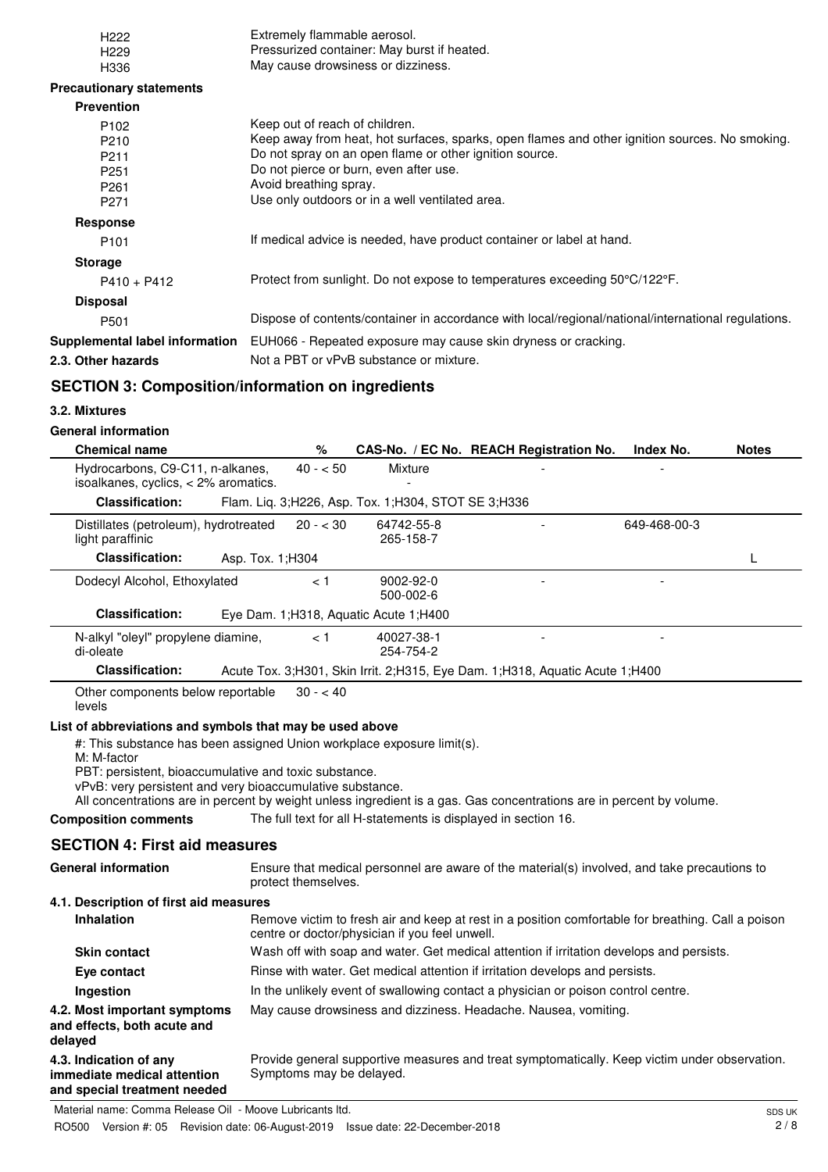| H <sub>222</sub>                                                         | Extremely flammable aerosol.                                                                                                                                                           |  |  |
|--------------------------------------------------------------------------|----------------------------------------------------------------------------------------------------------------------------------------------------------------------------------------|--|--|
| H <sub>229</sub>                                                         | Pressurized container: May burst if heated.                                                                                                                                            |  |  |
| H336                                                                     | May cause drowsiness or dizziness.                                                                                                                                                     |  |  |
| <b>Precautionary statements</b>                                          |                                                                                                                                                                                        |  |  |
| <b>Prevention</b>                                                        | Keep out of reach of children.                                                                                                                                                         |  |  |
| P <sub>102</sub><br>P210                                                 | Keep away from heat, hot surfaces, sparks, open flames and other ignition sources. No smoking.                                                                                         |  |  |
| P211                                                                     | Do not spray on an open flame or other ignition source.                                                                                                                                |  |  |
| P <sub>251</sub>                                                         | Do not pierce or burn, even after use.<br>Avoid breathing spray.                                                                                                                       |  |  |
| P <sub>261</sub><br>P271                                                 | Use only outdoors or in a well ventilated area.                                                                                                                                        |  |  |
| <b>Response</b>                                                          |                                                                                                                                                                                        |  |  |
| P <sub>101</sub>                                                         | If medical advice is needed, have product container or label at hand.                                                                                                                  |  |  |
| <b>Storage</b>                                                           |                                                                                                                                                                                        |  |  |
| $P410 + P412$                                                            | Protect from sunlight. Do not expose to temperatures exceeding 50°C/122°F.                                                                                                             |  |  |
| <b>Disposal</b>                                                          |                                                                                                                                                                                        |  |  |
| P501                                                                     | Dispose of contents/container in accordance with local/regional/national/international regulations.                                                                                    |  |  |
| Supplemental label information                                           | EUH066 - Repeated exposure may cause skin dryness or cracking.                                                                                                                         |  |  |
| 2.3. Other hazards                                                       | Not a PBT or vPvB substance or mixture.                                                                                                                                                |  |  |
| <b>SECTION 3: Composition/information on ingredients</b>                 |                                                                                                                                                                                        |  |  |
| 3.2. Mixtures                                                            |                                                                                                                                                                                        |  |  |
| <b>General information</b>                                               |                                                                                                                                                                                        |  |  |
| <b>Chemical name</b>                                                     | $\%$<br>CAS-No. / EC No. REACH Registration No.<br>Index No.<br><b>Notes</b>                                                                                                           |  |  |
| Hydrocarbons, C9-C11, n-alkanes,<br>isoalkanes, cyclics, < 2% aromatics. | $40 - 50$<br>Mixture                                                                                                                                                                   |  |  |
| <b>Classification:</b>                                                   | Flam. Liq. 3;H226, Asp. Tox. 1;H304, STOT SE 3;H336                                                                                                                                    |  |  |
| Distillates (petroleum), hydrotreated<br>light paraffinic                | $20 - < 30$<br>64742-55-8<br>649-468-00-3<br>265-158-7                                                                                                                                 |  |  |
| <b>Classification:</b>                                                   | Asp. Tox. 1; H304<br>L                                                                                                                                                                 |  |  |
| Dodecyl Alcohol, Ethoxylated                                             | < 1<br>9002-92-0<br>500-002-6                                                                                                                                                          |  |  |
| <b>Classification:</b>                                                   | Eye Dam. 1; H318, Aquatic Acute 1; H400                                                                                                                                                |  |  |
| N-alkyl "oleyl" propylene diamine,<br>di-oleate                          | < 1<br>40027-38-1<br>254-754-2                                                                                                                                                         |  |  |
| <b>Classification:</b>                                                   | Acute Tox. 3; H301, Skin Irrit. 2; H315, Eye Dam. 1; H318, Aquatic Acute 1; H400                                                                                                       |  |  |
| Other components below reportable<br>levels                              | $30 - 40$                                                                                                                                                                              |  |  |
| List of abbreviations and symbols that may be used above                 |                                                                                                                                                                                        |  |  |
| M: M-factor                                                              | #: This substance has been assigned Union workplace exposure limit(s).                                                                                                                 |  |  |
| PBT: persistent, bioaccumulative and toxic substance.                    |                                                                                                                                                                                        |  |  |
| vPvB: very persistent and very bioaccumulative substance.                |                                                                                                                                                                                        |  |  |
| <b>Composition comments</b>                                              | All concentrations are in percent by weight unless ingredient is a gas. Gas concentrations are in percent by volume.<br>The full text for all H-statements is displayed in section 16. |  |  |
|                                                                          |                                                                                                                                                                                        |  |  |
|                                                                          | <b>SECTION 4: First aid measures</b>                                                                                                                                                   |  |  |
| <b>General information</b>                                               | Ensure that medical personnel are aware of the material(s) involved, and take precautions to<br>protect themselves.                                                                    |  |  |
| 4.1. Description of first aid measures                                   |                                                                                                                                                                                        |  |  |
| <b>Inhalation</b>                                                        | Remove victim to fresh air and keep at rest in a position comfortable for breathing. Call a poison<br>centre or doctor/physician if you feel unwell.                                   |  |  |
| <b>Skin contact</b>                                                      | Wash off with soap and water. Get medical attention if irritation develops and persists.                                                                                               |  |  |
| Eye contact                                                              | Rinse with water. Get medical attention if irritation develops and persists.                                                                                                           |  |  |
| Ingestion                                                                | In the unlikely event of swallowing contact a physician or poison control centre.                                                                                                      |  |  |
| 4.2. Most important symptoms                                             | May cause drowsiness and dizziness. Headache. Nausea, vomiting.                                                                                                                        |  |  |
| and effects, both acute and<br>delayed                                   |                                                                                                                                                                                        |  |  |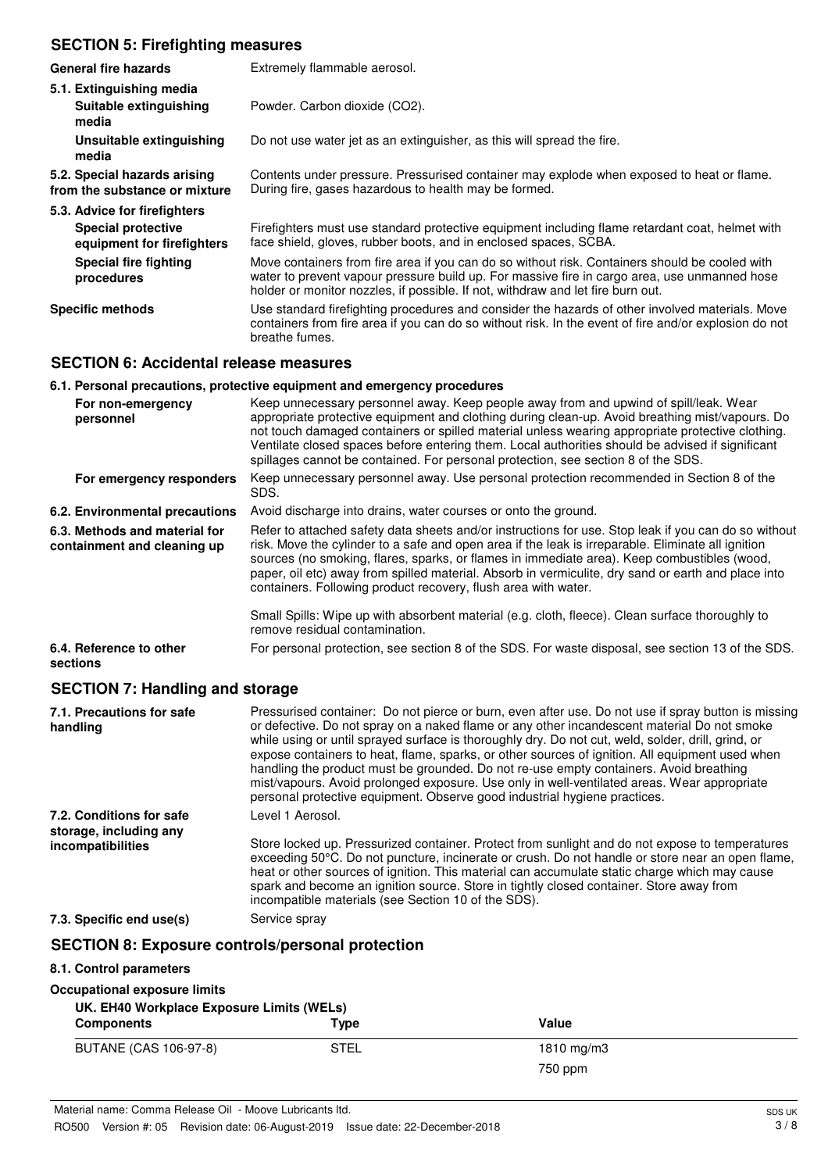## **SECTION 5: Firefighting measures**

| <b>General fire hazards</b>                                   | Extremely flammable aerosol.                                                                                                                                                                                                                                                      |
|---------------------------------------------------------------|-----------------------------------------------------------------------------------------------------------------------------------------------------------------------------------------------------------------------------------------------------------------------------------|
| 5.1. Extinguishing media<br>Suitable extinguishing<br>media   | Powder. Carbon dioxide (CO2).                                                                                                                                                                                                                                                     |
| Unsuitable extinguishing<br>media                             | Do not use water jet as an extinguisher, as this will spread the fire.                                                                                                                                                                                                            |
| 5.2. Special hazards arising<br>from the substance or mixture | Contents under pressure. Pressurised container may explode when exposed to heat or flame.<br>During fire, gases hazardous to health may be formed.                                                                                                                                |
| 5.3. Advice for firefighters                                  |                                                                                                                                                                                                                                                                                   |
| <b>Special protective</b><br>equipment for firefighters       | Firefighters must use standard protective equipment including flame retardant coat, helmet with<br>face shield, gloves, rubber boots, and in enclosed spaces, SCBA.                                                                                                               |
| <b>Special fire fighting</b><br>procedures                    | Move containers from fire area if you can do so without risk. Containers should be cooled with<br>water to prevent vapour pressure build up. For massive fire in cargo area, use unmanned hose<br>holder or monitor nozzles, if possible. If not, withdraw and let fire burn out. |
| <b>Specific methods</b>                                       | Use standard firefighting procedures and consider the hazards of other involved materials. Move<br>containers from fire area if you can do so without risk. In the event of fire and/or explosion do not<br>breathe fumes.                                                        |

## **SECTION 6: Accidental release measures**

#### **6.1. Personal precautions, protective equipment and emergency procedures**

| For non-emergency<br>personnel                               | Keep unnecessary personnel away. Keep people away from and upwind of spill/leak. Wear<br>appropriate protective equipment and clothing during clean-up. Avoid breathing mist/vapours. Do<br>not touch damaged containers or spilled material unless wearing appropriate protective clothing.<br>Ventilate closed spaces before entering them. Local authorities should be advised if significant<br>spillages cannot be contained. For personal protection, see section 8 of the SDS. |
|--------------------------------------------------------------|---------------------------------------------------------------------------------------------------------------------------------------------------------------------------------------------------------------------------------------------------------------------------------------------------------------------------------------------------------------------------------------------------------------------------------------------------------------------------------------|
| For emergency responders                                     | Keep unnecessary personnel away. Use personal protection recommended in Section 8 of the<br>SDS.                                                                                                                                                                                                                                                                                                                                                                                      |
| 6.2. Environmental precautions                               | Avoid discharge into drains, water courses or onto the ground.                                                                                                                                                                                                                                                                                                                                                                                                                        |
| 6.3. Methods and material for<br>containment and cleaning up | Refer to attached safety data sheets and/or instructions for use. Stop leak if you can do so without<br>risk. Move the cylinder to a safe and open area if the leak is irreparable. Eliminate all ignition<br>sources (no smoking, flares, sparks, or flames in immediate area). Keep combustibles (wood,<br>paper, oil etc) away from spilled material. Absorb in vermiculite, dry sand or earth and place into<br>containers. Following product recovery, flush area with water.    |
|                                                              | Small Spills: Wipe up with absorbent material (e.g. cloth, fleece). Clean surface thoroughly to<br>remove residual contamination.                                                                                                                                                                                                                                                                                                                                                     |
| 6.4. Reference to other<br>sections                          | For personal protection, see section 8 of the SDS. For waste disposal, see section 13 of the SDS.                                                                                                                                                                                                                                                                                                                                                                                     |

## **SECTION 7: Handling and storage**

| 7.1. Precautions for safe<br>handling              | Pressurised container: Do not pierce or burn, even after use. Do not use if spray button is missing<br>or defective. Do not spray on a naked flame or any other incandescent material Do not smoke<br>while using or until sprayed surface is thoroughly dry. Do not cut, weld, solder, drill, grind, or<br>expose containers to heat, flame, sparks, or other sources of ignition. All equipment used when<br>handling the product must be grounded. Do not re-use empty containers. Avoid breathing<br>mist/vapours. Avoid prolonged exposure. Use only in well-ventilated areas. Wear appropriate<br>personal protective equipment. Observe good industrial hygiene practices. |  |
|----------------------------------------------------|-----------------------------------------------------------------------------------------------------------------------------------------------------------------------------------------------------------------------------------------------------------------------------------------------------------------------------------------------------------------------------------------------------------------------------------------------------------------------------------------------------------------------------------------------------------------------------------------------------------------------------------------------------------------------------------|--|
| 7.2. Conditions for safe<br>storage, including any | Level 1 Aerosol.                                                                                                                                                                                                                                                                                                                                                                                                                                                                                                                                                                                                                                                                  |  |
| incompatibilities                                  | Store locked up. Pressurized container. Protect from sunlight and do not expose to temperatures<br>exceeding 50°C. Do not puncture, incinerate or crush. Do not handle or store near an open flame,<br>heat or other sources of ignition. This material can accumulate static charge which may cause<br>spark and become an ignition source. Store in tightly closed container. Store away from<br>incompatible materials (see Section 10 of the SDS).                                                                                                                                                                                                                            |  |
| 7.3. Specific end use(s)                           | Service spray                                                                                                                                                                                                                                                                                                                                                                                                                                                                                                                                                                                                                                                                     |  |

#### **SECTION 8: Exposure controls/personal protection**

#### **8.1. Control parameters**

| Occupational exposure limits |                                           |                 |  |
|------------------------------|-------------------------------------------|-----------------|--|
|                              | UK. EH40 Workplace Exposure Limits (WELs) |                 |  |
| <b>Components</b>            | Tvpe                                      | Value           |  |
| BUTANE (CAS 106-97-8)        | STEL                                      | $1810$ mg/m $3$ |  |
|                              |                                           | 750 ppm         |  |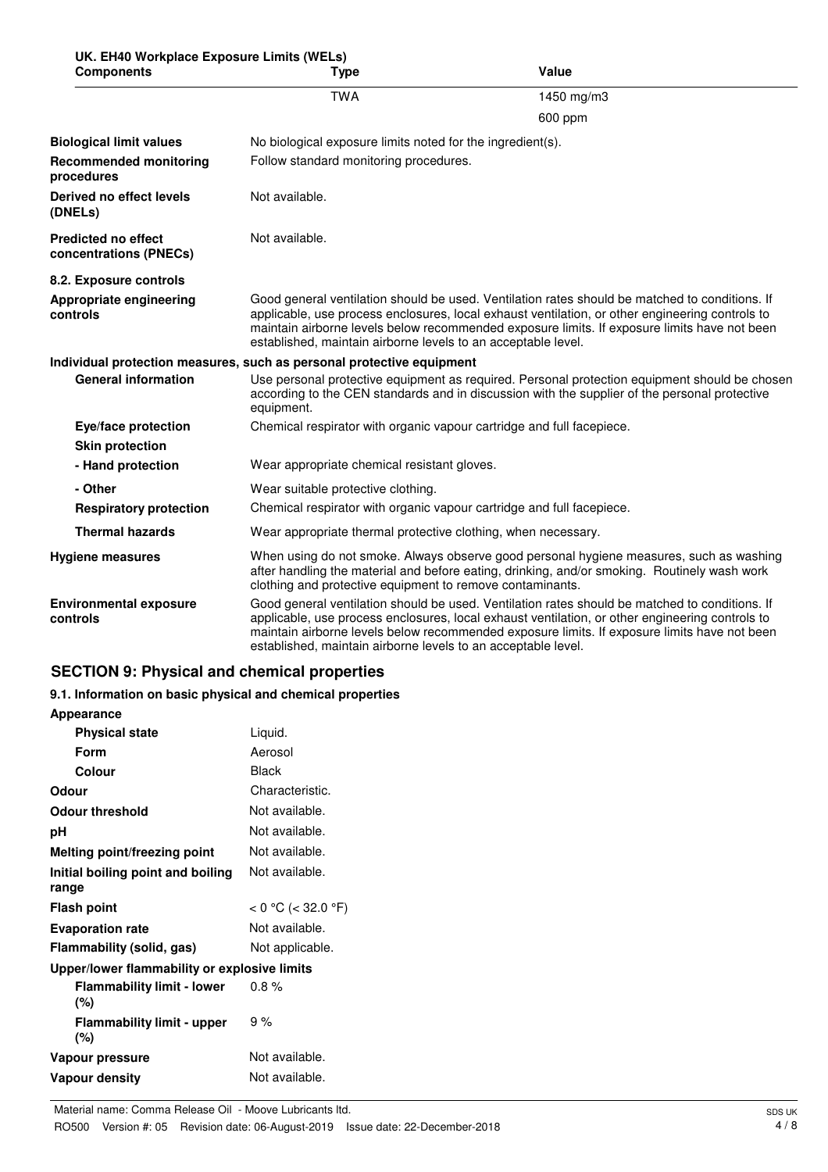| UK. EH40 Workplace Exposure Limits (WELs) |     |
|-------------------------------------------|-----|
| Components                                | Tyn |

| <b>Components</b>                                                                                                                                                                                                                                                                                                                                                                                               | <b>Type</b>                                                                                                                                                                                                                                                                                                                                                        | Value                                                                                                                                                                                          |
|-----------------------------------------------------------------------------------------------------------------------------------------------------------------------------------------------------------------------------------------------------------------------------------------------------------------------------------------------------------------------------------------------------------------|--------------------------------------------------------------------------------------------------------------------------------------------------------------------------------------------------------------------------------------------------------------------------------------------------------------------------------------------------------------------|------------------------------------------------------------------------------------------------------------------------------------------------------------------------------------------------|
|                                                                                                                                                                                                                                                                                                                                                                                                                 | <b>TWA</b>                                                                                                                                                                                                                                                                                                                                                         | 1450 mg/m3                                                                                                                                                                                     |
|                                                                                                                                                                                                                                                                                                                                                                                                                 |                                                                                                                                                                                                                                                                                                                                                                    | 600 ppm                                                                                                                                                                                        |
| <b>Biological limit values</b>                                                                                                                                                                                                                                                                                                                                                                                  | No biological exposure limits noted for the ingredient(s).                                                                                                                                                                                                                                                                                                         |                                                                                                                                                                                                |
| <b>Recommended monitoring</b><br>procedures                                                                                                                                                                                                                                                                                                                                                                     | Follow standard monitoring procedures.                                                                                                                                                                                                                                                                                                                             |                                                                                                                                                                                                |
| Derived no effect levels<br>(DNELs)                                                                                                                                                                                                                                                                                                                                                                             | Not available.                                                                                                                                                                                                                                                                                                                                                     |                                                                                                                                                                                                |
| <b>Predicted no effect</b><br>concentrations (PNECs)                                                                                                                                                                                                                                                                                                                                                            | Not available.                                                                                                                                                                                                                                                                                                                                                     |                                                                                                                                                                                                |
| 8.2. Exposure controls                                                                                                                                                                                                                                                                                                                                                                                          |                                                                                                                                                                                                                                                                                                                                                                    |                                                                                                                                                                                                |
| Appropriate engineering<br>controls                                                                                                                                                                                                                                                                                                                                                                             | Good general ventilation should be used. Ventilation rates should be matched to conditions. If<br>applicable, use process enclosures, local exhaust ventilation, or other engineering controls to<br>maintain airborne levels below recommended exposure limits. If exposure limits have not been<br>established, maintain airborne levels to an acceptable level. |                                                                                                                                                                                                |
|                                                                                                                                                                                                                                                                                                                                                                                                                 | Individual protection measures, such as personal protective equipment                                                                                                                                                                                                                                                                                              |                                                                                                                                                                                                |
| <b>General information</b>                                                                                                                                                                                                                                                                                                                                                                                      | equipment.                                                                                                                                                                                                                                                                                                                                                         | Use personal protective equipment as required. Personal protection equipment should be chosen<br>according to the CEN standards and in discussion with the supplier of the personal protective |
| Eye/face protection                                                                                                                                                                                                                                                                                                                                                                                             | Chemical respirator with organic vapour cartridge and full facepiece.                                                                                                                                                                                                                                                                                              |                                                                                                                                                                                                |
| <b>Skin protection</b>                                                                                                                                                                                                                                                                                                                                                                                          |                                                                                                                                                                                                                                                                                                                                                                    |                                                                                                                                                                                                |
| - Hand protection                                                                                                                                                                                                                                                                                                                                                                                               | Wear appropriate chemical resistant gloves.                                                                                                                                                                                                                                                                                                                        |                                                                                                                                                                                                |
| - Other                                                                                                                                                                                                                                                                                                                                                                                                         | Wear suitable protective clothing.                                                                                                                                                                                                                                                                                                                                 |                                                                                                                                                                                                |
| <b>Respiratory protection</b>                                                                                                                                                                                                                                                                                                                                                                                   | Chemical respirator with organic vapour cartridge and full facepiece.                                                                                                                                                                                                                                                                                              |                                                                                                                                                                                                |
| <b>Thermal hazards</b>                                                                                                                                                                                                                                                                                                                                                                                          | Wear appropriate thermal protective clothing, when necessary.                                                                                                                                                                                                                                                                                                      |                                                                                                                                                                                                |
| <b>Hygiene measures</b>                                                                                                                                                                                                                                                                                                                                                                                         | clothing and protective equipment to remove contaminants.                                                                                                                                                                                                                                                                                                          | When using do not smoke. Always observe good personal hygiene measures, such as washing<br>after handling the material and before eating, drinking, and/or smoking. Routinely wash work        |
| Good general ventilation should be used. Ventilation rates should be matched to conditions. If<br><b>Environmental exposure</b><br>applicable, use process enclosures, local exhaust ventilation, or other engineering controls to<br>controls<br>maintain airborne levels below recommended exposure limits. If exposure limits have not been<br>established, maintain airborne levels to an acceptable level. |                                                                                                                                                                                                                                                                                                                                                                    |                                                                                                                                                                                                |

## **SECTION 9: Physical and chemical properties**

## **9.1. Information on basic physical and chemical properties**

| <b>Appearance</b>                            |                    |  |
|----------------------------------------------|--------------------|--|
| <b>Physical state</b>                        | Liquid.            |  |
| Form                                         | Aerosol            |  |
| Colour                                       | Black              |  |
| Odour                                        | Characteristic.    |  |
| <b>Odour threshold</b>                       | Not available.     |  |
| рH                                           | Not available.     |  |
| Melting point/freezing point                 | Not available.     |  |
| Initial boiling point and boiling<br>range   | Not available.     |  |
| <b>Flash point</b>                           | < 0 °C (< 32.0 °F) |  |
| <b>Evaporation rate</b>                      | Not available.     |  |
| Flammability (solid, gas)                    | Not applicable.    |  |
| Upper/lower flammability or explosive limits |                    |  |
| <b>Flammability limit - lower</b><br>(%)     | $0.8\%$            |  |
| <b>Flammability limit - upper</b><br>(%)     | 9%                 |  |
| Vapour pressure                              | Not available.     |  |
| <b>Vapour density</b>                        | Not available.     |  |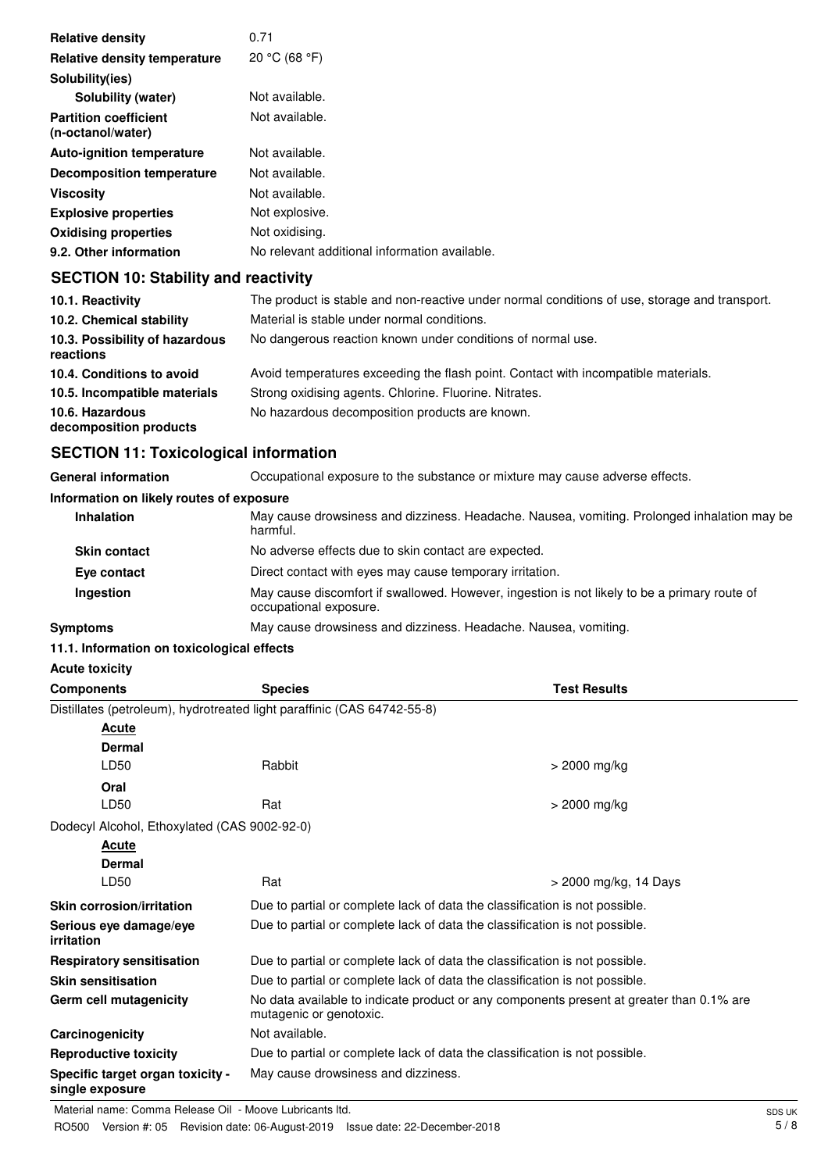| 0.71                                          |
|-----------------------------------------------|
| 20 °C (68 °F)                                 |
|                                               |
| Not available.                                |
| Not available.                                |
| Not available.                                |
| Not available.                                |
| Not available.                                |
| Not explosive.                                |
| Not oxidising.                                |
| No relevant additional information available. |
|                                               |

## **SECTION 10: Stability and reactivity**

| 10.1. Reactivity                            | The product is stable and non-reactive under normal conditions of use, storage and transport. |
|---------------------------------------------|-----------------------------------------------------------------------------------------------|
| 10.2. Chemical stability                    | Material is stable under normal conditions.                                                   |
| 10.3. Possibility of hazardous<br>reactions | No dangerous reaction known under conditions of normal use.                                   |
| 10.4. Conditions to avoid                   | Avoid temperatures exceeding the flash point. Contact with incompatible materials.            |
| 10.5. Incompatible materials                | Strong oxidising agents. Chlorine. Fluorine. Nitrates.                                        |
| 10.6. Hazardous<br>decomposition products   | No hazardous decomposition products are known.                                                |

## **SECTION 11: Toxicological information**

| <b>General information</b>               | Occupational exposure to the substance or mixture may cause adverse effects.                                           |
|------------------------------------------|------------------------------------------------------------------------------------------------------------------------|
| Information on likely routes of exposure |                                                                                                                        |
| <b>Inhalation</b>                        | May cause drowsiness and dizziness. Headache. Nausea, vomiting. Prolonged inhalation may be<br>harmful.                |
| <b>Skin contact</b>                      | No adverse effects due to skin contact are expected.                                                                   |
| Eye contact                              | Direct contact with eyes may cause temporary irritation.                                                               |
| Ingestion                                | May cause discomfort if swallowed. However, ingestion is not likely to be a primary route of<br>occupational exposure. |
| <b>Symptoms</b>                          | May cause drowsiness and dizziness. Headache. Nausea, vomiting.                                                        |

### **11.1. Information on toxicological effects**

## **Acute toxicity**

| <b>Components</b>                                          | <b>Species</b>                                                                                                      | <b>Test Results</b>   |
|------------------------------------------------------------|---------------------------------------------------------------------------------------------------------------------|-----------------------|
|                                                            | Distillates (petroleum), hydrotreated light paraffinic (CAS 64742-55-8)                                             |                       |
| <u>Acute</u>                                               |                                                                                                                     |                       |
| <b>Dermal</b>                                              |                                                                                                                     |                       |
| LD50                                                       | Rabbit                                                                                                              | $>$ 2000 mg/kg        |
| Oral                                                       |                                                                                                                     |                       |
| LD50                                                       | Rat                                                                                                                 | > 2000 mg/kg          |
| Dodecyl Alcohol, Ethoxylated (CAS 9002-92-0)               |                                                                                                                     |                       |
| Acute                                                      |                                                                                                                     |                       |
| <b>Dermal</b>                                              |                                                                                                                     |                       |
| LD50                                                       | Rat                                                                                                                 | > 2000 mg/kg, 14 Days |
| <b>Skin corrosion/irritation</b>                           | Due to partial or complete lack of data the classification is not possible.                                         |                       |
| Serious eye damage/eye<br>irritation                       | Due to partial or complete lack of data the classification is not possible.                                         |                       |
| <b>Respiratory sensitisation</b>                           | Due to partial or complete lack of data the classification is not possible.                                         |                       |
| <b>Skin sensitisation</b>                                  | Due to partial or complete lack of data the classification is not possible.                                         |                       |
| Germ cell mutagenicity                                     | No data available to indicate product or any components present at greater than 0.1% are<br>mutagenic or genotoxic. |                       |
| Carcinogenicity                                            | Not available.                                                                                                      |                       |
| <b>Reproductive toxicity</b>                               | Due to partial or complete lack of data the classification is not possible.                                         |                       |
| <b>Specific target organ toxicity -</b><br>single exposure | May cause drowsiness and dizziness.                                                                                 |                       |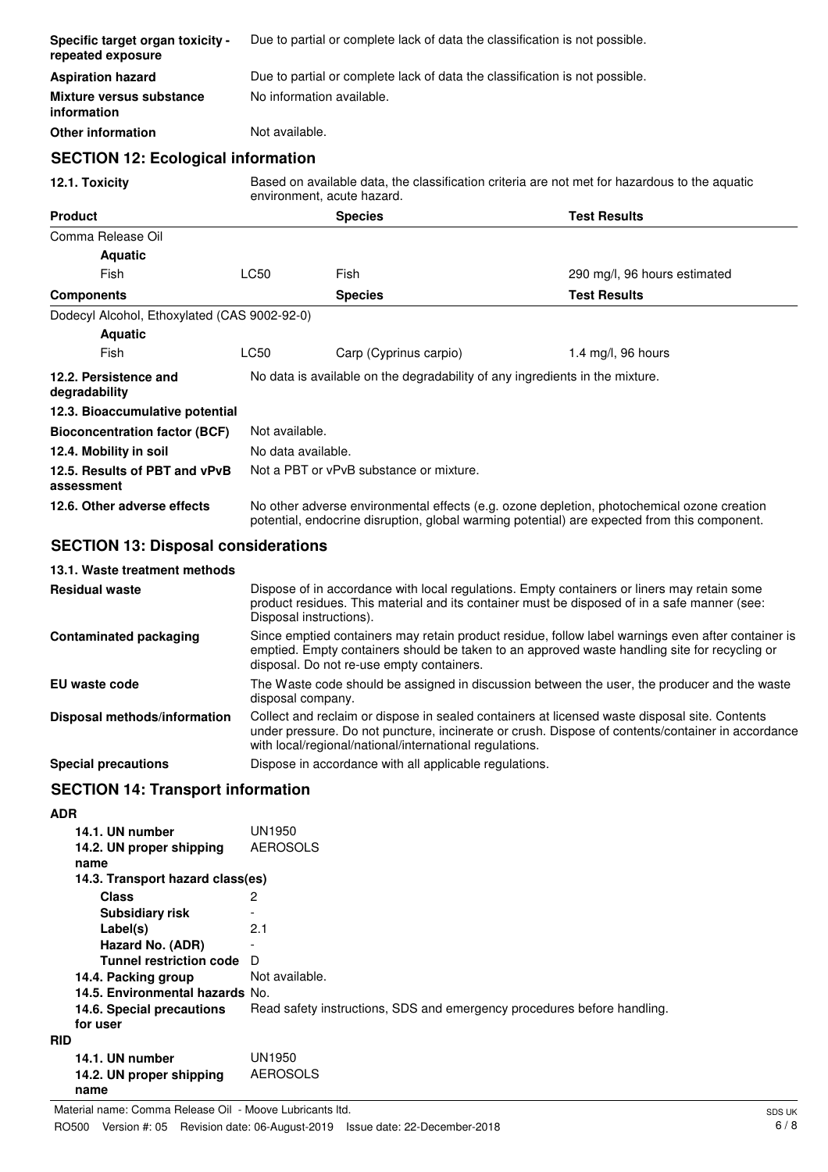| Specific target organ toxicity -<br>repeated exposure |             | Due to partial or complete lack of data the classification is not possible.                                                                                                                |                              |  |
|-------------------------------------------------------|-------------|--------------------------------------------------------------------------------------------------------------------------------------------------------------------------------------------|------------------------------|--|
| <b>Aspiration hazard</b>                              |             | Due to partial or complete lack of data the classification is not possible.                                                                                                                |                              |  |
| <b>Mixture versus substance</b><br>information        |             | No information available.                                                                                                                                                                  |                              |  |
| <b>Other information</b>                              |             | Not available.                                                                                                                                                                             |                              |  |
| <b>SECTION 12: Ecological information</b>             |             |                                                                                                                                                                                            |                              |  |
| 12.1. Toxicity                                        |             | Based on available data, the classification criteria are not met for hazardous to the aquatic<br>environment, acute hazard.                                                                |                              |  |
| <b>Product</b>                                        |             | <b>Species</b>                                                                                                                                                                             | <b>Test Results</b>          |  |
| Comma Release Oil                                     |             |                                                                                                                                                                                            |                              |  |
| <b>Aquatic</b>                                        |             |                                                                                                                                                                                            |                              |  |
| Fish                                                  | <b>LC50</b> | Fish                                                                                                                                                                                       | 290 mg/l, 96 hours estimated |  |
| <b>Components</b>                                     |             | <b>Species</b>                                                                                                                                                                             | <b>Test Results</b>          |  |
| Dodecyl Alcohol, Ethoxylated (CAS 9002-92-0)          |             |                                                                                                                                                                                            |                              |  |
| <b>Aquatic</b>                                        |             |                                                                                                                                                                                            |                              |  |
| Fish                                                  | <b>LC50</b> | Carp (Cyprinus carpio)                                                                                                                                                                     | 1.4 mg/l, 96 hours           |  |
| 12.2. Persistence and<br>degradability                |             | No data is available on the degradability of any ingredients in the mixture.                                                                                                               |                              |  |
| 12.3. Bioaccumulative potential                       |             |                                                                                                                                                                                            |                              |  |
| <b>Bioconcentration factor (BCF)</b>                  |             | Not available.                                                                                                                                                                             |                              |  |
| 12.4. Mobility in soil                                |             | No data available.                                                                                                                                                                         |                              |  |
| 12.5. Results of PBT and vPvB<br>assessment           |             | Not a PBT or vPvB substance or mixture.                                                                                                                                                    |                              |  |
| 12.6. Other adverse effects                           |             | No other adverse environmental effects (e.g. ozone depletion, photochemical ozone creation<br>potential, endocrine disruption, global warming potential) are expected from this component. |                              |  |
| <b>SECTION 13: Disposal considerations</b>            |             |                                                                                                                                                                                            |                              |  |
|                                                       |             |                                                                                                                                                                                            |                              |  |

## **13.1. Waste treatment methods**

| <b>Residual waste</b>         | Dispose of in accordance with local regulations. Empty containers or liners may retain some<br>product residues. This material and its container must be disposed of in a safe manner (see:<br>Disposal instructions).                                        |
|-------------------------------|---------------------------------------------------------------------------------------------------------------------------------------------------------------------------------------------------------------------------------------------------------------|
| <b>Contaminated packaging</b> | Since emptied containers may retain product residue, follow label warnings even after container is<br>emptied. Empty containers should be taken to an approved waste handling site for recycling or<br>disposal. Do not re-use empty containers.              |
| EU waste code                 | The Waste code should be assigned in discussion between the user, the producer and the waste<br>disposal company.                                                                                                                                             |
| Disposal methods/information  | Collect and reclaim or dispose in sealed containers at licensed waste disposal site. Contents<br>under pressure. Do not puncture, incinerate or crush. Dispose of contents/container in accordance<br>with local/regional/national/international regulations. |
| <b>Special precautions</b>    | Dispose in accordance with all applicable regulations.                                                                                                                                                                                                        |

## **SECTION 14: Transport information**

| <b>ADR</b> |                                  |                                                                         |
|------------|----------------------------------|-------------------------------------------------------------------------|
|            | 14.1. UN number                  | UN1950                                                                  |
|            | 14.2. UN proper shipping         | <b>AEROSOLS</b>                                                         |
|            | name                             |                                                                         |
|            | 14.3. Transport hazard class(es) |                                                                         |
|            | <b>Class</b>                     | 2                                                                       |
|            | <b>Subsidiary risk</b>           |                                                                         |
|            | Label(s)                         | 2.1                                                                     |
|            | Hazard No. (ADR)                 |                                                                         |
|            | <b>Tunnel restriction code</b>   | Ð                                                                       |
|            | 14.4. Packing group              | Not available.                                                          |
|            | 14.5. Environmental hazards No.  |                                                                         |
|            | 14.6. Special precautions        | Read safety instructions, SDS and emergency procedures before handling. |
|            | for user                         |                                                                         |
| <b>RID</b> |                                  |                                                                         |
|            | 14.1. UN number                  | UN1950                                                                  |
|            | 14.2. UN proper shipping         | <b>AEROSOLS</b>                                                         |
|            | name                             |                                                                         |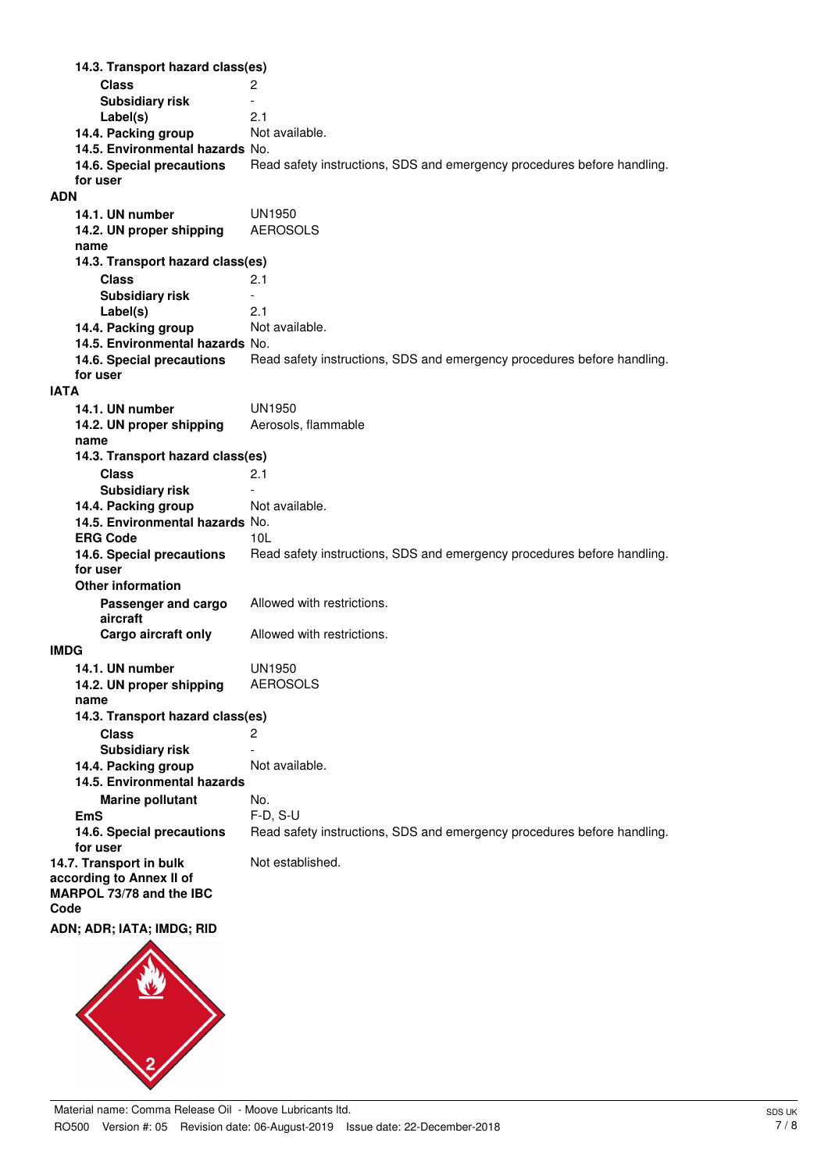**Class** 2 **14.3. Transport hazard class(es) Subsidiary risk** Fig. 2.1 **Label(s)** 2.1 **14.4. Packing group 14.5. Environmental hazards** No. **14.6. Special precautions** Read safety instructions, SDS and emergency procedures before handling. **for user ADN 14.1. UN number** UN1950 **14.2. UN proper shipping** AEROSOLS **name Class** 2.1 **14.3. Transport hazard class(es) Subsidiary risk Label(s)** 2.1 **14.4. Packing group** Not available. **14.5. Environmental hazards** No. **14.6. Special precautions** Read safety instructions, SDS and emergency procedures before handling. **for user IATA 14.1. UN number** UN1950 **14.2. UN proper shipping** Aerosols, flammable **name Class** 2.1 **14.3. Transport hazard class(es) Subsidiary risk 14.4. Packing group** Not available. **14.5. Environmental hazards** No. **ERG Code** 10L **14.6. Special precautions** Read safety instructions, SDS and emergency procedures before handling. **for user Passenger and cargo** Allowed with restrictions. **aircraft Other information Cargo aircraft only** Allowed with restrictions. **IMDG 14.1. UN number** UN1950 **14.2. UN proper shipping** AEROSOLS **name Class** 2 **14.3. Transport hazard class(es) Subsidiary risk 14.4. Packing group** Not available. **Marine pollutant** No. **14.5. Environmental hazards EmS** F-D, S-U **14.6. Special precautions** Read safety instructions, SDS and emergency procedures before handling. **for user 14.7. Transport in bulk** Not established. **according to Annex II of MARPOL 73/78 and the IBC Code ADN; ADR; IATA; IMDG; RID**